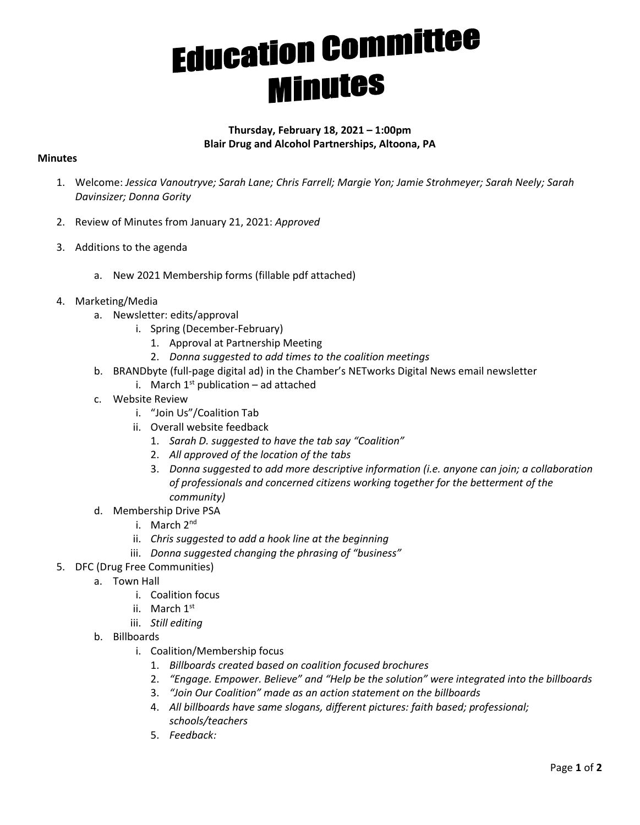## **Education Committee**

## **Thursday, February 18, 2021 – 1:00pm Blair Drug and Alcohol Partnerships, Altoona, PA**

## **Minutes**

- 1. Welcome: *Jessica Vanoutryve; Sarah Lane; Chris Farrell; Margie Yon; Jamie Strohmeyer; Sarah Neely; Sarah Davinsizer; Donna Gority*
- 2. Review of Minutes from January 21, 2021: *Approved*
- 3. Additions to the agenda
	- a. New 2021 Membership forms (fillable pdf attached)
- 4. Marketing/Media
	- a. Newsletter: edits/approval
		- i. Spring (December-February)
			- 1. Approval at Partnership Meeting
			- 2. *Donna suggested to add times to the coalition meetings*
	- b. BRANDbyte (full-page digital ad) in the Chamber's NETworks Digital News email newsletter
		- i. March  $1^{st}$  publication ad attached
	- c. Website Review
		- i. "Join Us"/Coalition Tab
		- ii. Overall website feedback
			- 1. *Sarah D. suggested to have the tab say "Coalition"*
			- 2. *All approved of the location of the tabs*
			- 3. *Donna suggested to add more descriptive information (i.e. anyone can join; a collaboration of professionals and concerned citizens working together for the betterment of the community)*
	- d. Membership Drive PSA
		- i. March 2<sup>nd</sup>
		- ii. *Chris suggested to add a hook line at the beginning*
		- iii. *Donna suggested changing the phrasing of "business"*
- 5. DFC (Drug Free Communities)
	- a. Town Hall
		- i. Coalition focus
		- ii. March 1st
		- iii. *Still editing*
	- b. Billboards
		- i. Coalition/Membership focus
			- 1. *Billboards created based on coalition focused brochures*
			- 2. *"Engage. Empower. Believe" and "Help be the solution" were integrated into the billboards*
			- 3. *"Join Our Coalition" made as an action statement on the billboards*
			- 4. *All billboards have same slogans, different pictures: faith based; professional; schools/teachers*
			- 5. *Feedback:*